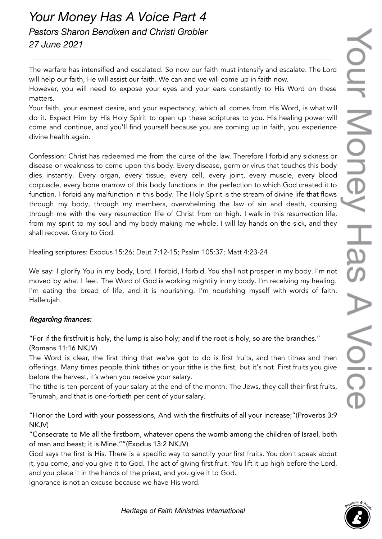## *Your Money Has A Voice Part 4 Pastors Sharon Bendixen and Christi Grobler 27 June 2021*

The warfare has intensified and escalated. So now our faith must intensify and escalate. The Lord will help our faith, He will assist our faith. We can and we will come up in faith now.

However, you will need to expose your eyes and your ears constantly to His Word on these matters.

Your faith, your earnest desire, and your expectancy, which all comes from His Word, is what will do it. Expect Him by His Holy Spirit to open up these scriptures to you. His healing power will come and continue, and you'll find yourself because you are coming up in faith, you experience divine health again.

Confession: Christ has redeemed me from the curse of the law. Therefore I forbid any sickness or disease or weakness to come upon this body. Every disease, germ or virus that touches this body dies instantly. Every organ, every tissue, every cell, every joint, every muscle, every blood corpuscle, every bone marrow of this body functions in the perfection to which God created it to function. I forbid any malfunction in this body. The Holy Spirit is the stream of divine life that flows through my body, through my members, overwhelming the law of sin and death, coursing through me with the very resurrection life of Christ from on high. I walk in this resurrection life, from my spirit to my soul and my body making me whole. I will lay hands on the sick, and they shall recover. Glory to God.

Healing scriptures: Exodus 15:26; Deut 7:12-15; Psalm 105:37; Matt 4:23-24

We say: I glorify You in my body, Lord. I forbid, I forbid. You shall not prosper in my body. I'm not moved by what I feel. The Word of God is working mightily in my body. I'm receiving my healing. I'm eating the bread of life, and it is nourishing. I'm nourishing myself with words of faith. Hallelujah.

## Regarding finances:

"For if the firstfruit is holy, the lump is also holy; and if the root is holy, so are the branches." (Romans 11:16 NKJV)

The Word is clear, the first thing that we've got to do is first fruits, and then tithes and then offerings. Many times people think tithes or your tithe is the first, but it's not. First fruits you give before the harvest, it's when you receive your salary.

The tithe is ten percent of your salary at the end of the month. The Jews, they call their first fruits, Terumah, and that is one-fortieth per cent of your salary.

"Honor the Lord with your possessions, And with the firstfruits of all your increase;"(Proverbs 3:9 NKJV)

"Consecrate to Me all the firstborn, whatever opens the womb among the children of Israel, both of man and beast; it is Mine.""(Exodus 13:2 NKJV)

God says the first is His. There is a specific way to sanctify your first fruits. You don't speak about it, you come, and you give it to God. The act of giving first fruit. You lift it up high before the Lord, and you place it in the hands of the priest, and you give it to God.

Ignorance is not an excuse because we have His word.